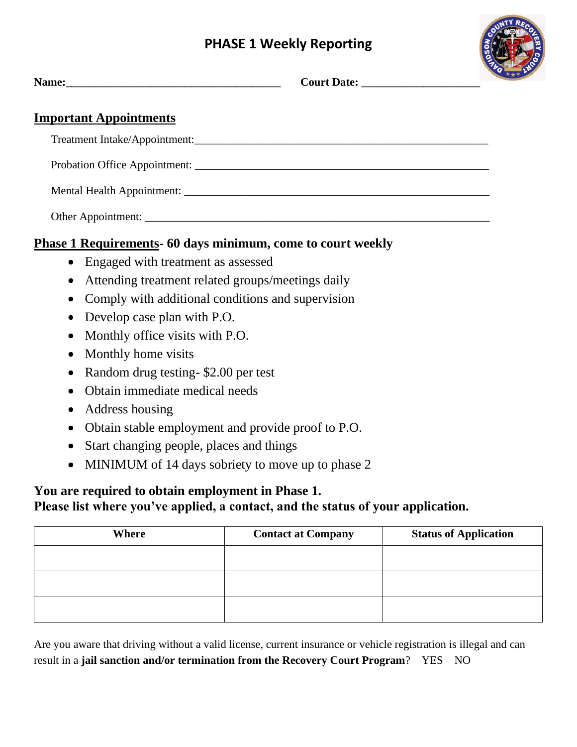## **PHASE 1 Weekly Reporting**



| <b>Important Appointments</b>                                      |  |
|--------------------------------------------------------------------|--|
|                                                                    |  |
|                                                                    |  |
|                                                                    |  |
|                                                                    |  |
| <b>Phase 1 Requirements- 60 days minimum, come to court weekly</b> |  |
| • Engaged with treatment as assessed                               |  |

- Attending treatment related groups/meetings daily
- Comply with additional conditions and supervision
- Develop case plan with P.O.
- Monthly office visits with P.O.
- Monthly home visits
- Random drug testing- \$2.00 per test
- Obtain immediate medical needs
- Address housing
- Obtain stable employment and provide proof to P.O.
- Start changing people, places and things
- MINIMUM of 14 days sobriety to move up to phase 2

## **You are required to obtain employment in Phase 1. Please list where you've applied, a contact, and the status of your application.**

| Where | <b>Contact at Company</b> | <b>Status of Application</b> |
|-------|---------------------------|------------------------------|
|       |                           |                              |
|       |                           |                              |
|       |                           |                              |

Are you aware that driving without a valid license, current insurance or vehicle registration is illegal and can result in a **jail sanction and/or termination from the Recovery Court Program**? YES NO